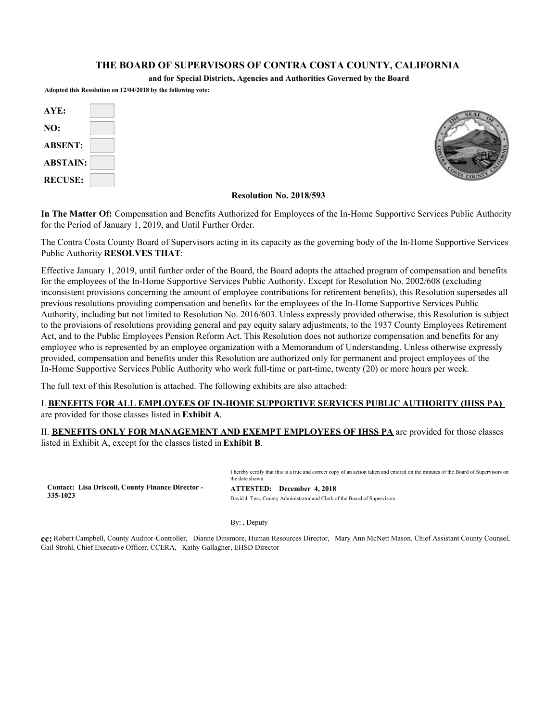#### **THE BOARD OF SUPERVISORS OF CONTRA COSTA COUNTY, CALIFORNIA**

**and for Special Districts, Agencies and Authorities Governed by the Board**

**Adopted this Resolution on 12/04/2018 by the following vote:**

| AYE:            |  |
|-----------------|--|
| NO:             |  |
| <b>ABSENT:</b>  |  |
| <b>ABSTAIN:</b> |  |
| <b>RECUSE:</b>  |  |



#### **Resolution No. 2018/593**

**In The Matter Of:** Compensation and Benefits Authorized for Employees of the In-Home Supportive Services Public Authority for the Period of January 1, 2019, and Until Further Order.

The Contra Costa County Board of Supervisors acting in its capacity as the governing body of the In-Home Supportive Services Public Authority **RESOLVES THAT**:

Effective January 1, 2019, until further order of the Board, the Board adopts the attached program of compensation and benefits for the employees of the In-Home Supportive Services Public Authority. Except for Resolution No. 2002/608 (excluding inconsistent provisions concerning the amount of employee contributions for retirement benefits), this Resolution supersedes all previous resolutions providing compensation and benefits for the employees of the In-Home Supportive Services Public Authority, including but not limited to Resolution No. 2016/603. Unless expressly provided otherwise, this Resolution is subject to the provisions of resolutions providing general and pay equity salary adjustments, to the 1937 County Employees Retirement Act, and to the Public Employees Pension Reform Act. This Resolution does not authorize compensation and benefits for any employee who is represented by an employee organization with a Memorandum of Understanding. Unless otherwise expressly provided, compensation and benefits under this Resolution are authorized only for permanent and project employees of the In-Home Supportive Services Public Authority who work full-time or part-time, twenty (20) or more hours per week.

The full text of this Resolution is attached. The following exhibits are also attached:

#### I. **BENEFITS FOR ALL EMPLOYEES OF IN-HOME SUPPORTIVE SERVICES PUBLIC AUTHORITY (IHSS PA)**  are provided for those classes listed in **Exhibit A**.

II. **BENEFITS ONLY FOR MANAGEMENT AND EXEMPT EMPLOYEES OF IHSS PA** are provided for those classes listed in Exhibit A, except for the classes listed in **Exhibit B**.

**Contact: Lisa Driscoll, County Finance Director - 335-1023**

I hereby certify that this is a true and correct copy of an action taken and entered on the minutes of the Board of Supervisors on the date shown.

**ATTESTED: December 4, 2018**  David J. Twa, County Administrator and Clerk of the Board of Supervisors

By: , Deputy

**cc:** Robert Campbell, County Auditor-Controller, Dianne Dinsmore, Human Resources Director, Mary Ann McNett Mason, Chief Assistant County Counsel, Gail Strohl, Chief Executive Officer, CCERA, Kathy Gallagher, EHSD Director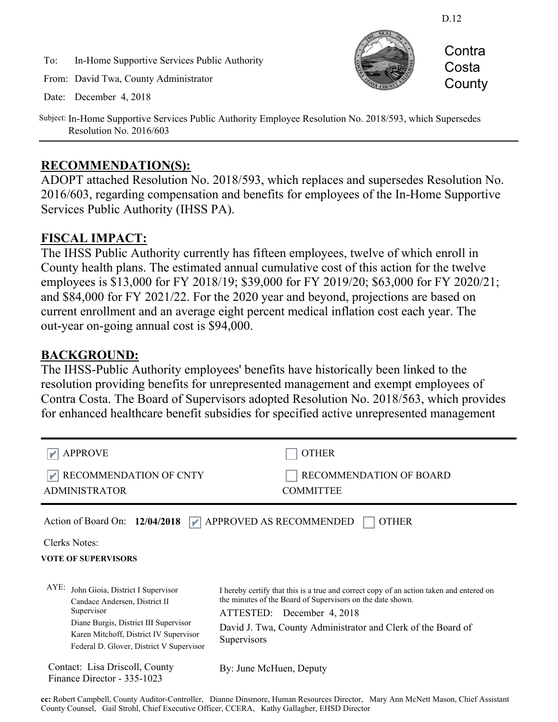To: In-Home Supportive Services Public Authority

From: David Twa, County Administrator

Date: December 4, 2018



Subject: In-Home Supportive Services Public Authority Employee Resolution No. 2018/593, which Supersedes Resolution No. 2016/603

# **RECOMMENDATION(S):**

ADOPT attached Resolution No. 2018/593, which replaces and supersedes Resolution No. 2016/603, regarding compensation and benefits for employees of the In-Home Supportive Services Public Authority (IHSS PA).

# **FISCAL IMPACT:**

The IHSS Public Authority currently has fifteen employees, twelve of which enroll in County health plans. The estimated annual cumulative cost of this action for the twelve employees is \$13,000 for FY 2018/19; \$39,000 for FY 2019/20; \$63,000 for FY 2020/21; and \$84,000 for FY 2021/22. For the 2020 year and beyond, projections are based on current enrollment and an average eight percent medical inflation cost each year. The out-year on-going annual cost is \$94,000.

# **BACKGROUND:**

The IHSS-Public Authority employees' benefits have historically been linked to the resolution providing benefits for unrepresented management and exempt employees of Contra Costa. The Board of Supervisors adopted Resolution No. 2018/563, which provides for enhanced healthcare benefit subsidies for specified active unrepresented management

| <b>APPROVE</b><br>RECOMMENDATION OF CNTY<br><b>ADMINISTRATOR</b>                                                                                                                                                           | <b>OTHER</b><br>RECOMMENDATION OF BOARD<br><b>COMMITTEE</b>                                                                                                                                                                                                        |
|----------------------------------------------------------------------------------------------------------------------------------------------------------------------------------------------------------------------------|--------------------------------------------------------------------------------------------------------------------------------------------------------------------------------------------------------------------------------------------------------------------|
| Action of Board On: 12/04/2018<br>Clerks Notes:<br><b>VOTE OF SUPERVISORS</b>                                                                                                                                              | $\blacktriangleright$ APPROVED AS RECOMMENDED<br><b>OTHER</b>                                                                                                                                                                                                      |
| $AYE$ :<br>John Gioia, District I Supervisor<br>Candace Andersen, District II<br>Supervisor<br>Diane Burgis, District III Supervisor<br>Karen Mitchoff, District IV Supervisor<br>Federal D. Glover, District V Supervisor | I hereby certify that this is a true and correct copy of an action taken and entered on<br>the minutes of the Board of Supervisors on the date shown.<br>ATTESTED: December 4, 2018<br>David J. Twa, County Administrator and Clerk of the Board of<br>Supervisors |
| Contact: Lisa Driscoll, County<br>Finance Director - 335-1023                                                                                                                                                              | By: June McHuen, Deputy                                                                                                                                                                                                                                            |

**cc:** Robert Campbell, County Auditor-Controller, Dianne Dinsmore, Human Resources Director, Mary Ann McNett Mason, Chief Assistant County Counsel, Gail Strohl, Chief Executive Officer, CCERA, Kathy Gallagher, EHSD Director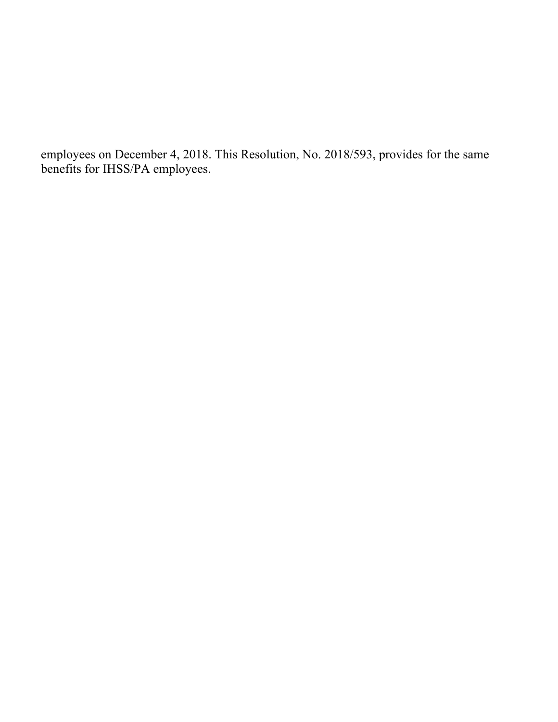employees on December 4, 2018. This Resolution, No. 2018/593, provides for the same benefits for IHSS/PA employees.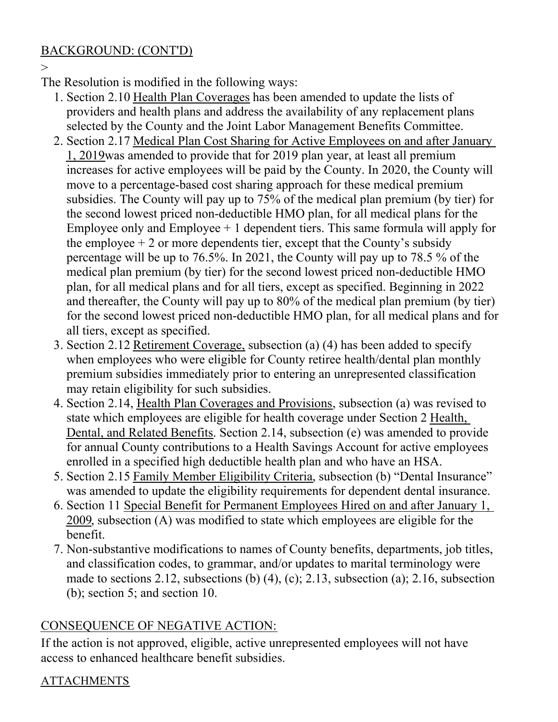# BACKGROUND: (CONT'D)

 $\rightarrow$ 

The Resolution is modified in the following ways:

- 1. Section 2.10 Health Plan Coverages has been amended to update the lists of providers and health plans and address the availability of any replacement plans selected by the County and the Joint Labor Management Benefits Committee.
- 2. Section 2.17 Medical Plan Cost Sharing for Active Employees on and after January 1, 2019was amended to provide that for 2019 plan year, at least all premium increases for active employees will be paid by the County. In 2020, the County will move to a percentage-based cost sharing approach for these medical premium subsidies. The County will pay up to 75% of the medical plan premium (by tier) for the second lowest priced non-deductible HMO plan, for all medical plans for the Employee only and Employee  $+1$  dependent tiers. This same formula will apply for the employee  $+2$  or more dependents tier, except that the County's subsidy percentage will be up to 76.5%. In 2021, the County will pay up to 78.5 % of the medical plan premium (by tier) for the second lowest priced non-deductible HMO plan, for all medical plans and for all tiers, except as specified. Beginning in 2022 and thereafter, the County will pay up to 80% of the medical plan premium (by tier) for the second lowest priced non-deductible HMO plan, for all medical plans and for all tiers, except as specified.
- 3. Section 2.12 Retirement Coverage, subsection (a) (4) has been added to specify when employees who were eligible for County retiree health/dental plan monthly premium subsidies immediately prior to entering an unrepresented classification may retain eligibility for such subsidies.
- 4. Section 2.14, Health Plan Coverages and Provisions, subsection (a) was revised to state which employees are eligible for health coverage under Section 2 Health, Dental, and Related Benefits. Section 2.14, subsection (e) was amended to provide for annual County contributions to a Health Savings Account for active employees enrolled in a specified high deductible health plan and who have an HSA.
- 5. Section 2.15 Family Member Eligibility Criteria, subsection (b) "Dental Insurance" was amended to update the eligibility requirements for dependent dental insurance.
- 6. Section 11 Special Benefit for Permanent Employees Hired on and after January 1, 2009, subsection (A) was modified to state which employees are eligible for the benefit.
- 7. Non-substantive modifications to names of County benefits, departments, job titles, and classification codes, to grammar, and/or updates to marital terminology were made to sections 2.12, subsections (b) (4), (c); 2.13, subsection (a); 2.16, subsection (b); section 5; and section 10.

# CONSEQUENCE OF NEGATIVE ACTION:

If the action is not approved, eligible, active unrepresented employees will not have access to enhanced healthcare benefit subsidies.

# ATTACHMENTS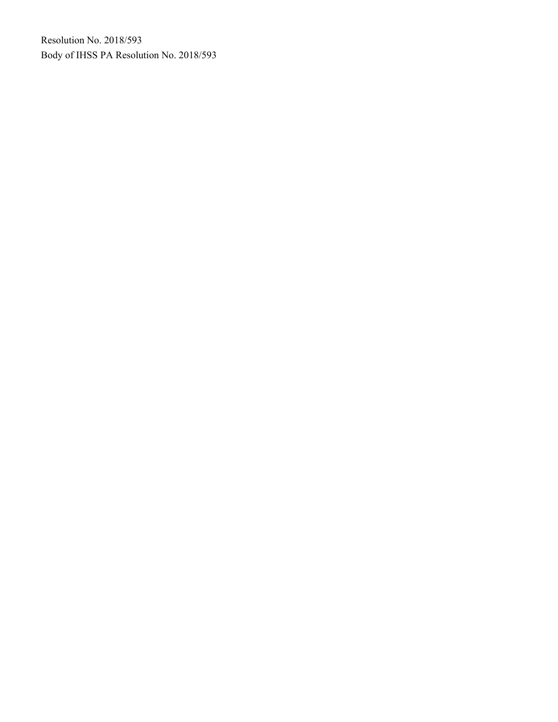Resolution No. 2018/593 Body of IHSS PA Resolution No. 2018/593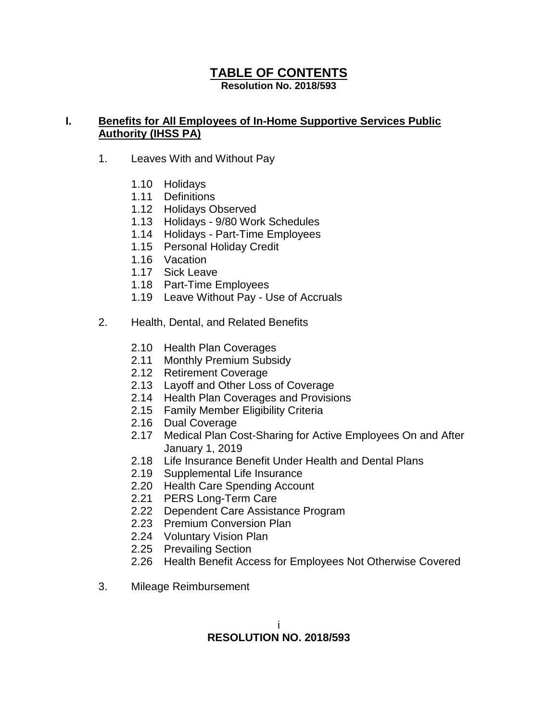# **TABLE OF CONTENTS**

**Resolution No. 2018/593**

# **I. Benefits for All Employees of In-Home Supportive Services Public Authority (IHSS PA)**

- 1. Leaves With and Without Pay
	- 1.10 Holidays
	- 1.11 Definitions
	- 1.12 Holidays Observed
	- 1.13 Holidays 9/80 Work Schedules
	- 1.14 Holidays Part-Time Employees
	- 1.15 Personal Holiday Credit
	- 1.16 Vacation
	- 1.17 Sick Leave
	- 1.18 Part-Time Employees
	- 1.19 Leave Without Pay Use of Accruals
- 2. Health, Dental, and Related Benefits
	- 2.10 Health Plan Coverages
	- 2.11 Monthly Premium Subsidy
	- 2.12 Retirement Coverage
	- 2.13 Layoff and Other Loss of Coverage
	- 2.14 Health Plan Coverages and Provisions
	- 2.15 Family Member Eligibility Criteria
	- 2.16 Dual Coverage
	- 2.17 Medical Plan Cost-Sharing for Active Employees On and After January 1, 2019
	- 2.18 Life Insurance Benefit Under Health and Dental Plans
	- 2.19 Supplemental Life Insurance
	- 2.20 Health Care Spending Account
	- 2.21 PERS Long-Term Care
	- 2.22 Dependent Care Assistance Program
	- 2.23 Premium Conversion Plan
	- 2.24 Voluntary Vision Plan
	- 2.25 Prevailing Section
	- 2.26 Health Benefit Access for Employees Not Otherwise Covered
- 3. Mileage Reimbursement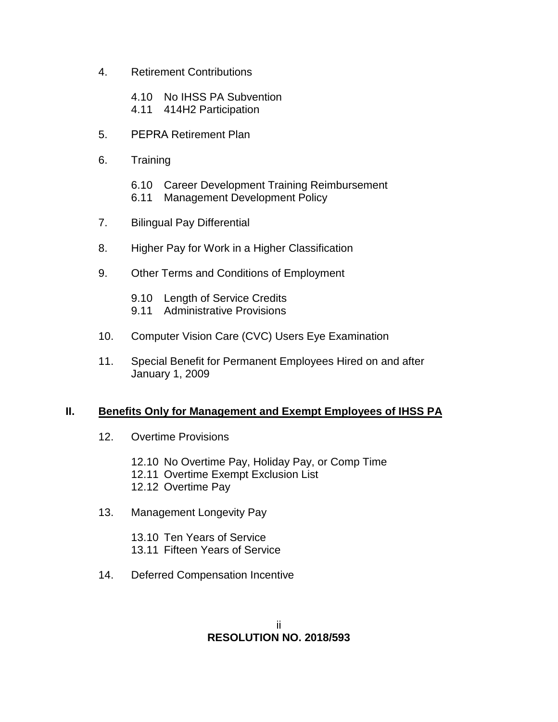- 4. Retirement Contributions
	- 4.10 No IHSS PA Subvention
	- 4.11 414H2 Participation
- 5. PEPRA Retirement Plan
- 6. Training
	- 6.10 Career Development Training Reimbursement
	- 6.11 Management Development Policy
- 7. Bilingual Pay Differential
- 8. Higher Pay for Work in a Higher Classification
- 9. Other Terms and Conditions of Employment
	- 9.10 Length of Service Credits
	- 9.11 Administrative Provisions
- 10. Computer Vision Care (CVC) Users Eye Examination
- 11. Special Benefit for Permanent Employees Hired on and after January 1, 2009

# **II. Benefits Only for Management and Exempt Employees of IHSS PA**

- 12. Overtime Provisions
	- 12.10 No Overtime Pay, Holiday Pay, or Comp Time
	- 12.11 Overtime Exempt Exclusion List
	- 12.12 Overtime Pay
- 13. Management Longevity Pay

13.10 Ten Years of Service 13.11 Fifteen Years of Service

14. Deferred Compensation Incentive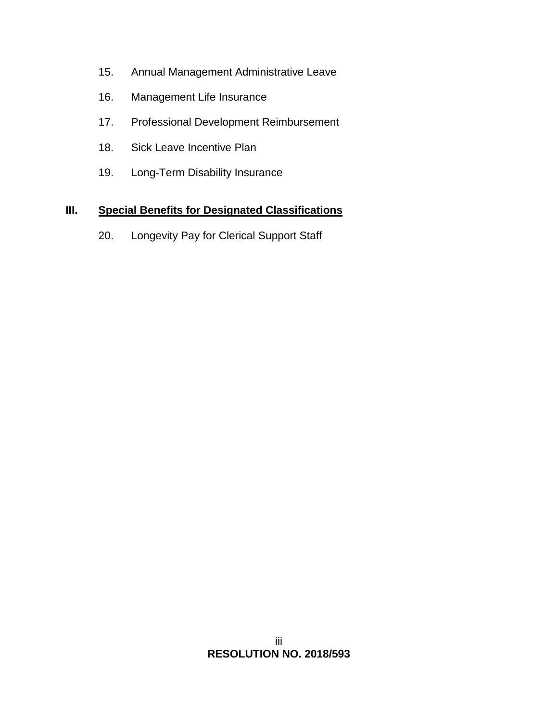- 15. Annual Management Administrative Leave
- 16. Management Life Insurance
- 17. Professional Development Reimbursement
- 18. Sick Leave Incentive Plan
- 19. Long-Term Disability Insurance

# **III. Special Benefits for Designated Classifications**

20. Longevity Pay for Clerical Support Staff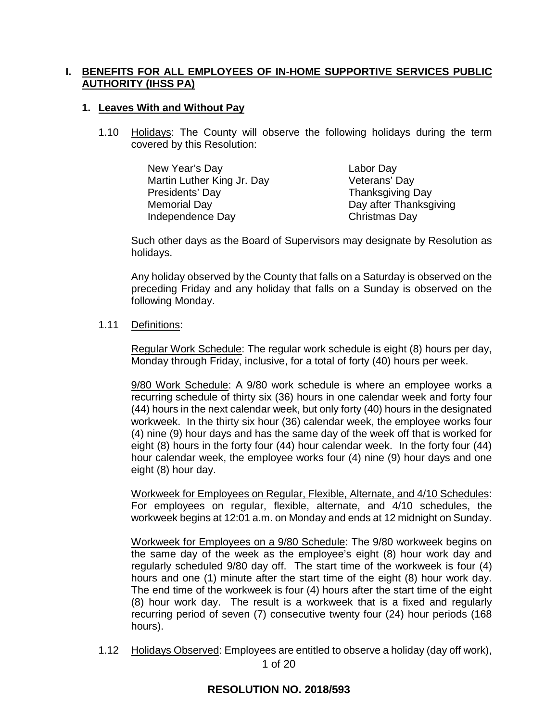## **I. BENEFITS FOR ALL EMPLOYEES OF IN-HOME SUPPORTIVE SERVICES PUBLIC AUTHORITY (IHSS PA)**

## **1. Leaves With and Without Pay**

1.10 Holidays: The County will observe the following holidays during the term covered by this Resolution:

| New Year's Day             | Labor Day               |
|----------------------------|-------------------------|
| Martin Luther King Jr. Day | Veterans' Day           |
| Presidents' Day            | <b>Thanksgiving Day</b> |
| <b>Memorial Day</b>        | Day after Thanksgiving  |
| Independence Day           | Christmas Day           |

Such other days as the Board of Supervisors may designate by Resolution as holidays.

Any holiday observed by the County that falls on a Saturday is observed on the preceding Friday and any holiday that falls on a Sunday is observed on the following Monday.

### 1.11 Definitions:

Regular Work Schedule: The regular work schedule is eight (8) hours per day, Monday through Friday, inclusive, for a total of forty (40) hours per week.

9/80 Work Schedule: A 9/80 work schedule is where an employee works a recurring schedule of thirty six (36) hours in one calendar week and forty four (44) hours in the next calendar week, but only forty (40) hours in the designated workweek. In the thirty six hour (36) calendar week, the employee works four (4) nine (9) hour days and has the same day of the week off that is worked for eight (8) hours in the forty four (44) hour calendar week. In the forty four (44) hour calendar week, the employee works four (4) nine (9) hour days and one eight (8) hour day.

Workweek for Employees on Regular, Flexible, Alternate, and 4/10 Schedules: For employees on regular, flexible, alternate, and 4/10 schedules, the workweek begins at 12:01 a.m. on Monday and ends at 12 midnight on Sunday.

Workweek for Employees on a 9/80 Schedule: The 9/80 workweek begins on the same day of the week as the employee's eight (8) hour work day and regularly scheduled 9/80 day off. The start time of the workweek is four (4) hours and one (1) minute after the start time of the eight (8) hour work day. The end time of the workweek is four (4) hours after the start time of the eight (8) hour work day. The result is a workweek that is a fixed and regularly recurring period of seven (7) consecutive twenty four (24) hour periods (168 hours).

1 of 20 1.12 Holidays Observed: Employees are entitled to observe a holiday (day off work),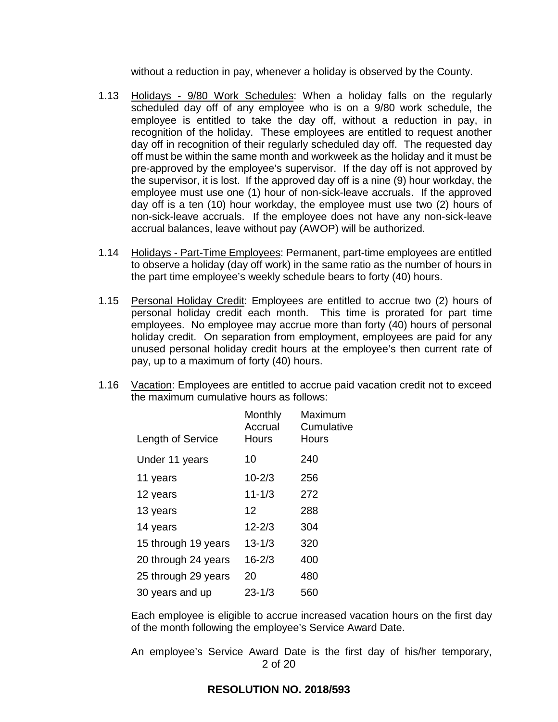without a reduction in pay, whenever a holiday is observed by the County.

- 1.13 Holidays 9/80 Work Schedules: When a holiday falls on the regularly scheduled day off of any employee who is on a 9/80 work schedule, the employee is entitled to take the day off, without a reduction in pay, in recognition of the holiday. These employees are entitled to request another day off in recognition of their regularly scheduled day off. The requested day off must be within the same month and workweek as the holiday and it must be pre-approved by the employee's supervisor. If the day off is not approved by the supervisor, it is lost. If the approved day off is a nine (9) hour workday, the employee must use one (1) hour of non-sick-leave accruals. If the approved day off is a ten (10) hour workday, the employee must use two (2) hours of non-sick-leave accruals. If the employee does not have any non-sick-leave accrual balances, leave without pay (AWOP) will be authorized.
- 1.14 Holidays Part-Time Employees: Permanent, part-time employees are entitled to observe a holiday (day off work) in the same ratio as the number of hours in the part time employee's weekly schedule bears to forty (40) hours.
- 1.15 Personal Holiday Credit: Employees are entitled to accrue two (2) hours of personal holiday credit each month. This time is prorated for part time employees. No employee may accrue more than forty (40) hours of personal holiday credit. On separation from employment, employees are paid for any unused personal holiday credit hours at the employee's then current rate of pay, up to a maximum of forty (40) hours.
- 1.16 Vacation: Employees are entitled to accrue paid vacation credit not to exceed the maximum cumulative hours as follows:

| Length of Service   | Monthly<br>Accrual<br>Hours | Maximum<br>Cumulative<br>Hours |
|---------------------|-----------------------------|--------------------------------|
| Under 11 years      | 10                          | 240                            |
| 11 years            | $10 - 2/3$                  | 256                            |
| 12 years            | $11 - 1/3$                  | 272                            |
| 13 years            | 12                          | 288                            |
| 14 years            | $12 - 2/3$                  | 304                            |
| 15 through 19 years | $13 - 1/3$                  | 320                            |
| 20 through 24 years | $16 - 2/3$                  | 400                            |
| 25 through 29 years | 20                          | 480                            |
| 30 years and up     | $23 - 1/3$                  | 560                            |

Each employee is eligible to accrue increased vacation hours on the first day of the month following the employee's Service Award Date.

2 of 20 An employee's Service Award Date is the first day of his/her temporary,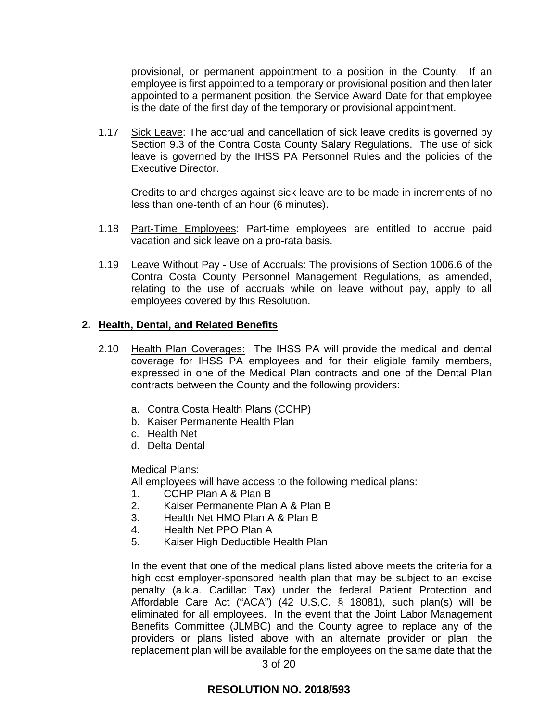provisional, or permanent appointment to a position in the County. If an employee is first appointed to a temporary or provisional position and then later appointed to a permanent position, the Service Award Date for that employee is the date of the first day of the temporary or provisional appointment.

1.17 Sick Leave: The accrual and cancellation of sick leave credits is governed by Section 9.3 of the Contra Costa County Salary Regulations. The use of sick leave is governed by the IHSS PA Personnel Rules and the policies of the Executive Director.

Credits to and charges against sick leave are to be made in increments of no less than one-tenth of an hour (6 minutes).

- 1.18 Part-Time Employees: Part-time employees are entitled to accrue paid vacation and sick leave on a pro-rata basis.
- 1.19 Leave Without Pay Use of Accruals: The provisions of Section 1006.6 of the Contra Costa County Personnel Management Regulations, as amended, relating to the use of accruals while on leave without pay, apply to all employees covered by this Resolution.

#### **2. Health, Dental, and Related Benefits**

- 2.10 Health Plan Coverages: The IHSS PA will provide the medical and dental coverage for IHSS PA employees and for their eligible family members, expressed in one of the Medical Plan contracts and one of the Dental Plan contracts between the County and the following providers:
	- a. Contra Costa Health Plans (CCHP)
	- b. Kaiser Permanente Health Plan
	- c. Health Net
	- d. Delta Dental

Medical Plans:

All employees will have access to the following medical plans:

- 1. CCHP Plan A & Plan B
- 2. Kaiser Permanente Plan A & Plan B
- 3. Health Net HMO Plan A & Plan B
- 4. Health Net PPO Plan A
- 5. Kaiser High Deductible Health Plan

In the event that one of the medical plans listed above meets the criteria for a high cost employer-sponsored health plan that may be subject to an excise penalty (a.k.a. Cadillac Tax) under the federal Patient Protection and Affordable Care Act ("ACA") (42 U.S.C. § 18081), such plan(s) will be eliminated for all employees. In the event that the Joint Labor Management Benefits Committee (JLMBC) and the County agree to replace any of the providers or plans listed above with an alternate provider or plan, the replacement plan will be available for the employees on the same date that the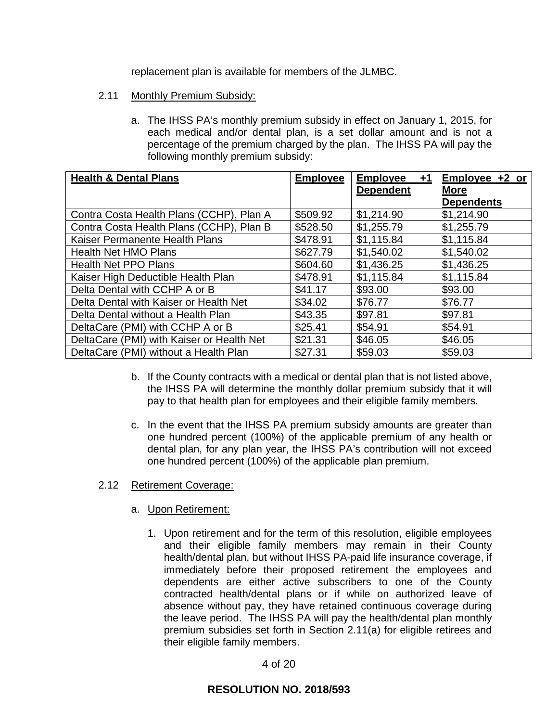replacement plan is available for members of the JLMBC.

- 2.11 Monthly Premium Subsidy:
	- a. The IHSS PA's monthly premium subsidy in effect on January 1, 2015, for each medical and/or dental plan, is a set dollar amount and is not a percentage of the premium charged by the plan. The IHSS PA will pay the following monthly premium subsidy:

| <b>Health &amp; Dental Plans</b>          | <b>Employee</b> | <b>Employee</b><br>+1 | Employee +2 or    |
|-------------------------------------------|-----------------|-----------------------|-------------------|
|                                           |                 | <b>Dependent</b>      | <b>More</b>       |
|                                           |                 |                       | <b>Dependents</b> |
| Contra Costa Health Plans (CCHP), Plan A  | \$509.92        | \$1,214.90            | \$1,214.90        |
| Contra Costa Health Plans (CCHP), Plan B  | \$528.50        | \$1,255.79            | \$1,255.79        |
| Kaiser Permanente Health Plans            | \$478.91        | \$1,115.84            | \$1,115.84        |
| <b>Health Net HMO Plans</b>               | \$627.79        | \$1,540.02            | \$1,540.02        |
| <b>Health Net PPO Plans</b>               | \$604.60        | \$1,436.25            | \$1,436.25        |
| Kaiser High Deductible Health Plan        | \$478.91        | \$1,115.84            | \$1,115.84        |
| Delta Dental with CCHP A or B             | \$41.17         | \$93.00               | \$93.00           |
| Delta Dental with Kaiser or Health Net    | \$34.02         | \$76.77               | \$76.77           |
| Delta Dental without a Health Plan        | \$43.35         | \$97.81               | \$97.81           |
| DeltaCare (PMI) with CCHP A or B          | \$25.41         | \$54.91               | \$54.91           |
| DeltaCare (PMI) with Kaiser or Health Net | \$21.31         | \$46.05               | \$46.05           |
| DeltaCare (PMI) without a Health Plan     | \$27.31         | \$59.03               | \$59.03           |

- b. If the County contracts with a medical or dental plan that is not listed above, the IHSS PA will determine the monthly dollar premium subsidy that it will pay to that health plan for employees and their eligible family members.
- c. In the event that the IHSS PA premium subsidy amounts are greater than one hundred percent (100%) of the applicable premium of any health or dental plan, for any plan year, the IHSS PA's contribution will not exceed one hundred percent (100%) of the applicable plan premium.

### 2.12 Retirement Coverage:

# a. Upon Retirement:

1. Upon retirement and for the term of this resolution, eligible employees and their eligible family members may remain in their County health/dental plan, but without IHSS PA-paid life insurance coverage, if immediately before their proposed retirement the employees and dependents are either active subscribers to one of the County contracted health/dental plans or if while on authorized leave of absence without pay, they have retained continuous coverage during the leave period. The IHSS PA will pay the health/dental plan monthly premium subsidies set forth in Section 2.11(a) for eligible retirees and their eligible family members.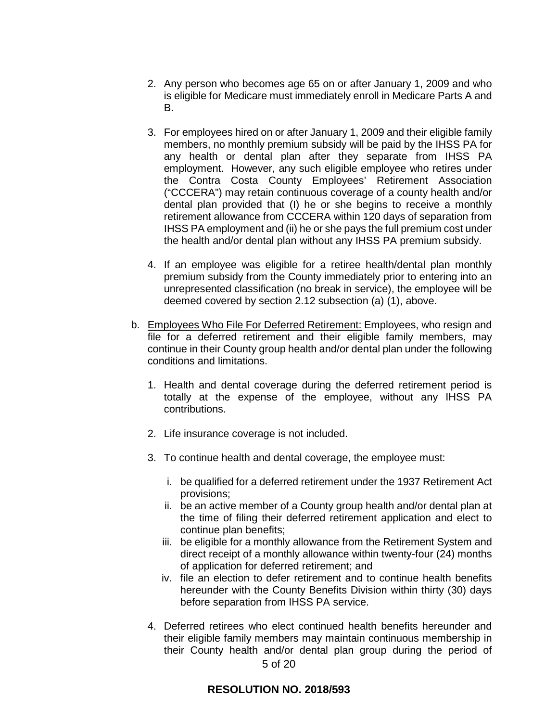- 2. Any person who becomes age 65 on or after January 1, 2009 and who is eligible for Medicare must immediately enroll in Medicare Parts A and B.
- 3. For employees hired on or after January 1, 2009 and their eligible family members, no monthly premium subsidy will be paid by the IHSS PA for any health or dental plan after they separate from IHSS PA employment. However, any such eligible employee who retires under the Contra Costa County Employees' Retirement Association ("CCCERA") may retain continuous coverage of a county health and/or dental plan provided that (I) he or she begins to receive a monthly retirement allowance from CCCERA within 120 days of separation from IHSS PA employment and (ii) he or she pays the full premium cost under the health and/or dental plan without any IHSS PA premium subsidy.
- 4. If an employee was eligible for a retiree health/dental plan monthly premium subsidy from the County immediately prior to entering into an unrepresented classification (no break in service), the employee will be deemed covered by section 2.12 subsection (a) (1), above.
- b. Employees Who File For Deferred Retirement: Employees, who resign and file for a deferred retirement and their eligible family members, may continue in their County group health and/or dental plan under the following conditions and limitations.
	- 1. Health and dental coverage during the deferred retirement period is totally at the expense of the employee, without any IHSS PA contributions.
	- 2. Life insurance coverage is not included.
	- 3. To continue health and dental coverage, the employee must:
		- i. be qualified for a deferred retirement under the 1937 Retirement Act provisions;
		- ii. be an active member of a County group health and/or dental plan at the time of filing their deferred retirement application and elect to continue plan benefits;
		- iii. be eligible for a monthly allowance from the Retirement System and direct receipt of a monthly allowance within twenty-four (24) months of application for deferred retirement; and
		- iv. file an election to defer retirement and to continue health benefits hereunder with the County Benefits Division within thirty (30) days before separation from IHSS PA service.
	- 5 of 20 4. Deferred retirees who elect continued health benefits hereunder and their eligible family members may maintain continuous membership in their County health and/or dental plan group during the period of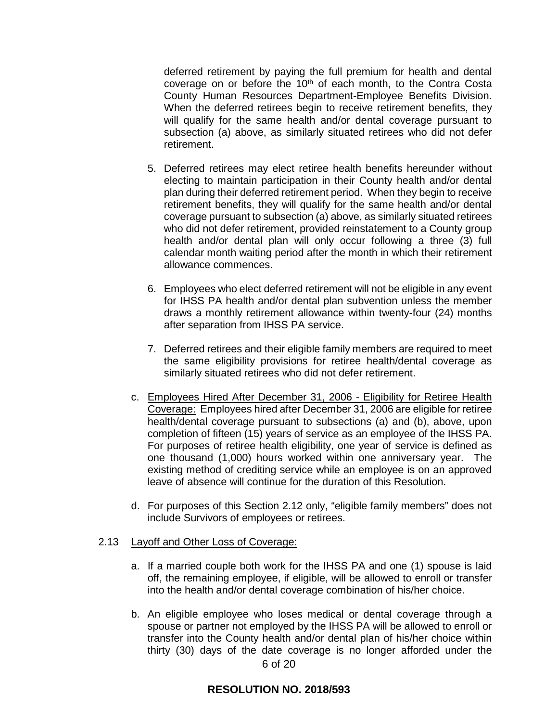deferred retirement by paying the full premium for health and dental coverage on or before the 10<sup>th</sup> of each month, to the Contra Costa County Human Resources Department-Employee Benefits Division. When the deferred retirees begin to receive retirement benefits, they will qualify for the same health and/or dental coverage pursuant to subsection (a) above, as similarly situated retirees who did not defer retirement.

- 5. Deferred retirees may elect retiree health benefits hereunder without electing to maintain participation in their County health and/or dental plan during their deferred retirement period. When they begin to receive retirement benefits, they will qualify for the same health and/or dental coverage pursuant to subsection (a) above, as similarly situated retirees who did not defer retirement, provided reinstatement to a County group health and/or dental plan will only occur following a three (3) full calendar month waiting period after the month in which their retirement allowance commences.
- 6. Employees who elect deferred retirement will not be eligible in any event for IHSS PA health and/or dental plan subvention unless the member draws a monthly retirement allowance within twenty-four (24) months after separation from IHSS PA service.
- 7. Deferred retirees and their eligible family members are required to meet the same eligibility provisions for retiree health/dental coverage as similarly situated retirees who did not defer retirement.
- c. Employees Hired After December 31, 2006 Eligibility for Retiree Health Coverage: Employees hired after December 31, 2006 are eligible for retiree health/dental coverage pursuant to subsections (a) and (b), above, upon completion of fifteen (15) years of service as an employee of the IHSS PA. For purposes of retiree health eligibility, one year of service is defined as one thousand (1,000) hours worked within one anniversary year. The existing method of crediting service while an employee is on an approved leave of absence will continue for the duration of this Resolution.
- d. For purposes of this Section 2.12 only, "eligible family members" does not include Survivors of employees or retirees.

#### 2.13 Layoff and Other Loss of Coverage:

- a. If a married couple both work for the IHSS PA and one (1) spouse is laid off, the remaining employee, if eligible, will be allowed to enroll or transfer into the health and/or dental coverage combination of his/her choice.
- 6 of 20 b. An eligible employee who loses medical or dental coverage through a spouse or partner not employed by the IHSS PA will be allowed to enroll or transfer into the County health and/or dental plan of his/her choice within thirty (30) days of the date coverage is no longer afforded under the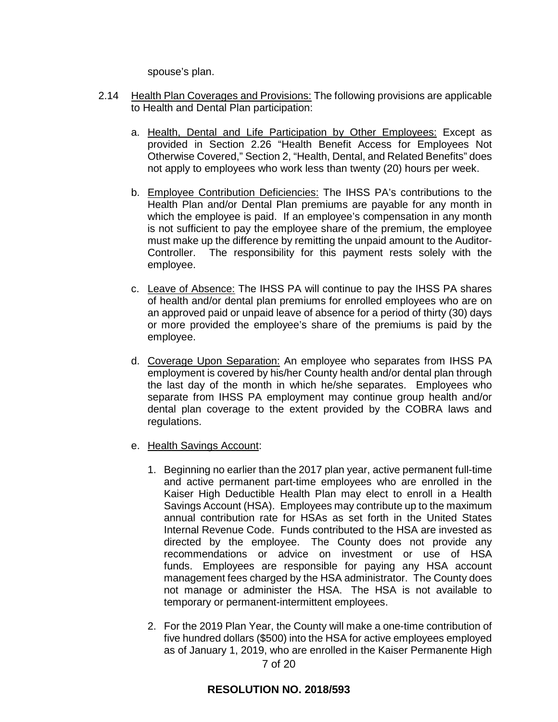spouse's plan.

- 2.14 Health Plan Coverages and Provisions: The following provisions are applicable to Health and Dental Plan participation:
	- a. Health, Dental and Life Participation by Other Employees: Except as provided in Section 2.26 "Health Benefit Access for Employees Not Otherwise Covered," Section 2, "Health, Dental, and Related Benefits" does not apply to employees who work less than twenty (20) hours per week.
	- b. Employee Contribution Deficiencies: The IHSS PA's contributions to the Health Plan and/or Dental Plan premiums are payable for any month in which the employee is paid. If an employee's compensation in any month is not sufficient to pay the employee share of the premium, the employee must make up the difference by remitting the unpaid amount to the Auditor-Controller. The responsibility for this payment rests solely with the employee.
	- c. Leave of Absence: The IHSS PA will continue to pay the IHSS PA shares of health and/or dental plan premiums for enrolled employees who are on an approved paid or unpaid leave of absence for a period of thirty (30) days or more provided the employee's share of the premiums is paid by the employee.
	- d. Coverage Upon Separation: An employee who separates from IHSS PA employment is covered by his/her County health and/or dental plan through the last day of the month in which he/she separates. Employees who separate from IHSS PA employment may continue group health and/or dental plan coverage to the extent provided by the COBRA laws and regulations.
	- e. Health Savings Account:
		- 1. Beginning no earlier than the 2017 plan year, active permanent full-time and active permanent part-time employees who are enrolled in the Kaiser High Deductible Health Plan may elect to enroll in a Health Savings Account (HSA). Employees may contribute up to the maximum annual contribution rate for HSAs as set forth in the United States Internal Revenue Code. Funds contributed to the HSA are invested as directed by the employee. The County does not provide any recommendations or advice on investment or use of HSA funds. Employees are responsible for paying any HSA account management fees charged by the HSA administrator. The County does not manage or administer the HSA. The HSA is not available to temporary or permanent-intermittent employees.
		- 7 of 20 2. For the 2019 Plan Year, the County will make a one-time contribution of five hundred dollars (\$500) into the HSA for active employees employed as of January 1, 2019, who are enrolled in the Kaiser Permanente High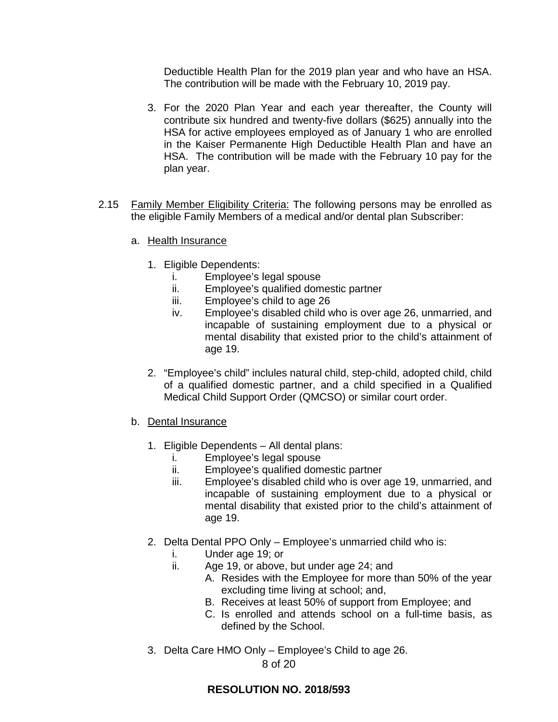Deductible Health Plan for the 2019 plan year and who have an HSA. The contribution will be made with the February 10, 2019 pay.

- 3. For the 2020 Plan Year and each year thereafter, the County will contribute six hundred and twenty-five dollars (\$625) annually into the HSA for active employees employed as of January 1 who are enrolled in the Kaiser Permanente High Deductible Health Plan and have an HSA. The contribution will be made with the February 10 pay for the plan year.
- 2.15 Family Member Eligibility Criteria: The following persons may be enrolled as the eligible Family Members of a medical and/or dental plan Subscriber:
	- a. Health Insurance
		- 1. Eligible Dependents:
			- i. Employee's legal spouse
			- ii. Employee's qualified domestic partner
			- iii. Employee's child to age 26
			- iv. Employee's disabled child who is over age 26, unmarried, and incapable of sustaining employment due to a physical or mental disability that existed prior to the child's attainment of age 19.
		- 2. "Employee's child" inclules natural child, step-child, adopted child, child of a qualified domestic partner, and a child specified in a Qualified Medical Child Support Order (QMCSO) or similar court order.
	- b. Dental Insurance
		- 1. Eligible Dependents All dental plans:
			- i. Employee's legal spouse
			- ii. Employee's qualified domestic partner
			- iii. Employee's disabled child who is over age 19, unmarried, and incapable of sustaining employment due to a physical or mental disability that existed prior to the child's attainment of age 19.
		- 2. Delta Dental PPO Only Employee's unmarried child who is:
			- i. Under age 19; or
			- ii. Age 19, or above, but under age 24; and
				- A. Resides with the Employee for more than 50% of the year excluding time living at school; and,
				- B. Receives at least 50% of support from Employee; and
				- C. Is enrolled and attends school on a full-time basis, as defined by the School.
		- 3. Delta Care HMO Only Employee's Child to age 26.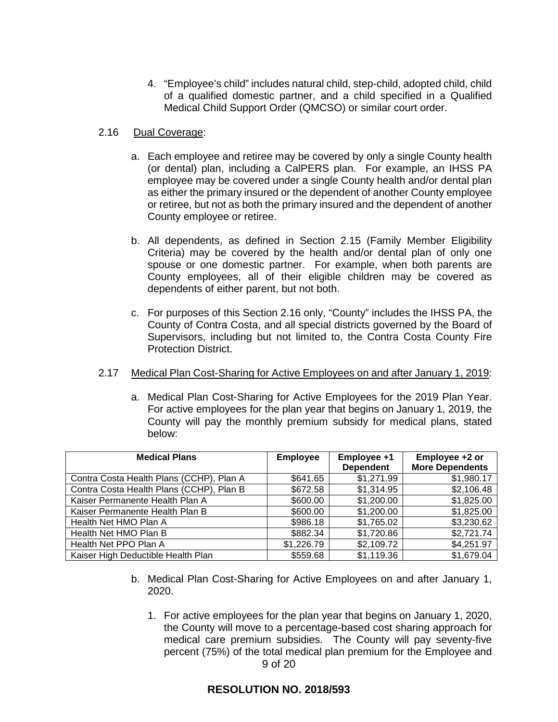4. "Employee's child" includes natural child, step-child, adopted child, child of a qualified domestic partner, and a child specified in a Qualified Medical Child Support Order (QMCSO) or similar court order.

### 2.16 Dual Coverage:

- a. Each employee and retiree may be covered by only a single County health (or dental) plan, including a CalPERS plan. For example, an IHSS PA employee may be covered under a single County health and/or dental plan as either the primary insured or the dependent of another County employee or retiree, but not as both the primary insured and the dependent of another County employee or retiree.
- b. All dependents, as defined in Section 2.15 (Family Member Eligibility Criteria) may be covered by the health and/or dental plan of only one spouse or one domestic partner. For example, when both parents are County employees, all of their eligible children may be covered as dependents of either parent, but not both.
- c. For purposes of this Section 2.16 only, "County" includes the IHSS PA, the County of Contra Costa, and all special districts governed by the Board of Supervisors, including but not limited to, the Contra Costa County Fire Protection District.

### 2.17 Medical Plan Cost-Sharing for Active Employees on and after January 1, 2019:

a. Medical Plan Cost-Sharing for Active Employees for the 2019 Plan Year. For active employees for the plan year that begins on January 1, 2019, the County will pay the monthly premium subsidy for medical plans, stated below:

| <b>Medical Plans</b>                     | <b>Employee</b> | Employee +1      | Employee +2 or         |
|------------------------------------------|-----------------|------------------|------------------------|
|                                          |                 | <b>Dependent</b> | <b>More Dependents</b> |
| Contra Costa Health Plans (CCHP), Plan A | \$641.65        | \$1,271.99       | \$1,980.17             |
| Contra Costa Health Plans (CCHP), Plan B | \$672.58        | \$1,314.95       | \$2,106.48             |
| Kaiser Permanente Health Plan A          | \$600.00        | \$1,200.00       | \$1,825.00             |
| Kaiser Permanente Health Plan B          | \$600.00        | \$1,200.00       | \$1,825.00             |
| Health Net HMO Plan A                    | \$986.18        | \$1,765.02       | \$3,230.62             |
| Health Net HMO Plan B                    | \$882.34        | \$1,720.86       | \$2,721.74             |
| Health Net PPO Plan A                    | \$1,226.79      | \$2,109.72       | \$4,251.97             |
| Kaiser High Deductible Health Plan       | \$559.68        | \$1,119.36       | \$1,679.04             |

- b. Medical Plan Cost-Sharing for Active Employees on and after January 1, 2020.
	- 9 of 20 1. For active employees for the plan year that begins on January 1, 2020, the County will move to a percentage-based cost sharing approach for medical care premium subsidies. The County will pay seventy-five percent (75%) of the total medical plan premium for the Employee and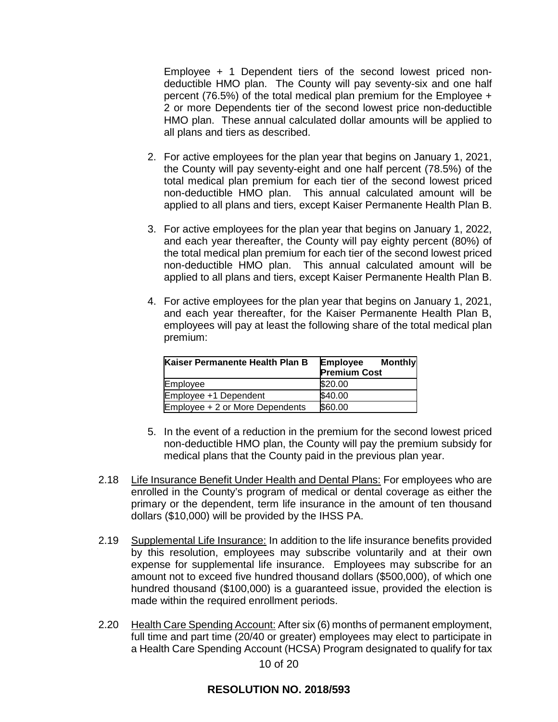Employee + 1 Dependent tiers of the second lowest priced nondeductible HMO plan. The County will pay seventy-six and one half percent (76.5%) of the total medical plan premium for the Employee + 2 or more Dependents tier of the second lowest price non-deductible HMO plan. These annual calculated dollar amounts will be applied to all plans and tiers as described.

- 2. For active employees for the plan year that begins on January 1, 2021, the County will pay seventy-eight and one half percent (78.5%) of the total medical plan premium for each tier of the second lowest priced non-deductible HMO plan. This annual calculated amount will be applied to all plans and tiers, except Kaiser Permanente Health Plan B.
- 3. For active employees for the plan year that begins on January 1, 2022, and each year thereafter, the County will pay eighty percent (80%) of the total medical plan premium for each tier of the second lowest priced non-deductible HMO plan. This annual calculated amount will be applied to all plans and tiers, except Kaiser Permanente Health Plan B.
- 4. For active employees for the plan year that begins on January 1, 2021, and each year thereafter, for the Kaiser Permanente Health Plan B, employees will pay at least the following share of the total medical plan premium:

| Kaiser Permanente Health Plan B | <b>Monthly</b><br><b>Employee</b><br><b>Premium Cost</b> |
|---------------------------------|----------------------------------------------------------|
| Employee                        | \$20.00                                                  |
| Employee +1 Dependent           | \$40.00                                                  |
| Employee + 2 or More Dependents | \$60.00                                                  |

- 5. In the event of a reduction in the premium for the second lowest priced non-deductible HMO plan, the County will pay the premium subsidy for medical plans that the County paid in the previous plan year.
- 2.18 Life Insurance Benefit Under Health and Dental Plans: For employees who are enrolled in the County's program of medical or dental coverage as either the primary or the dependent, term life insurance in the amount of ten thousand dollars (\$10,000) will be provided by the IHSS PA.
- 2.19 Supplemental Life Insurance: In addition to the life insurance benefits provided by this resolution, employees may subscribe voluntarily and at their own expense for supplemental life insurance. Employees may subscribe for an amount not to exceed five hundred thousand dollars (\$500,000), of which one hundred thousand (\$100,000) is a guaranteed issue, provided the election is made within the required enrollment periods.
- 2.20 Health Care Spending Account: After six (6) months of permanent employment, full time and part time (20/40 or greater) employees may elect to participate in a Health Care Spending Account (HCSA) Program designated to qualify for tax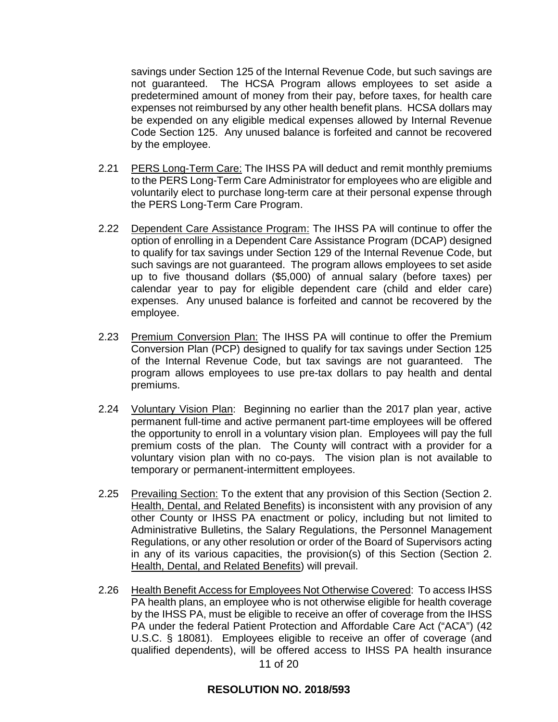savings under Section 125 of the Internal Revenue Code, but such savings are not guaranteed. The HCSA Program allows employees to set aside a predetermined amount of money from their pay, before taxes, for health care expenses not reimbursed by any other health benefit plans. HCSA dollars may be expended on any eligible medical expenses allowed by Internal Revenue Code Section 125. Any unused balance is forfeited and cannot be recovered by the employee.

- 2.21 PERS Long-Term Care: The IHSS PA will deduct and remit monthly premiums to the PERS Long-Term Care Administrator for employees who are eligible and voluntarily elect to purchase long-term care at their personal expense through the PERS Long-Term Care Program.
- 2.22 Dependent Care Assistance Program: The IHSS PA will continue to offer the option of enrolling in a Dependent Care Assistance Program (DCAP) designed to qualify for tax savings under Section 129 of the Internal Revenue Code, but such savings are not guaranteed. The program allows employees to set aside up to five thousand dollars (\$5,000) of annual salary (before taxes) per calendar year to pay for eligible dependent care (child and elder care) expenses. Any unused balance is forfeited and cannot be recovered by the employee.
- 2.23 Premium Conversion Plan: The IHSS PA will continue to offer the Premium Conversion Plan (PCP) designed to qualify for tax savings under Section 125 of the Internal Revenue Code, but tax savings are not guaranteed. The program allows employees to use pre-tax dollars to pay health and dental premiums.
- 2.24 Voluntary Vision Plan: Beginning no earlier than the 2017 plan year, active permanent full-time and active permanent part-time employees will be offered the opportunity to enroll in a voluntary vision plan. Employees will pay the full premium costs of the plan. The County will contract with a provider for a voluntary vision plan with no co-pays. The vision plan is not available to temporary or permanent-intermittent employees.
- 2.25 Prevailing Section: To the extent that any provision of this Section (Section 2. Health, Dental, and Related Benefits) is inconsistent with any provision of any other County or IHSS PA enactment or policy, including but not limited to Administrative Bulletins, the Salary Regulations, the Personnel Management Regulations, or any other resolution or order of the Board of Supervisors acting in any of its various capacities, the provision(s) of this Section (Section 2. Health, Dental, and Related Benefits) will prevail.
- 2.26 Health Benefit Access for Employees Not Otherwise Covered: To access IHSS PA health plans, an employee who is not otherwise eligible for health coverage by the IHSS PA, must be eligible to receive an offer of coverage from the IHSS PA under the federal Patient Protection and Affordable Care Act ("ACA") (42 U.S.C. § 18081). Employees eligible to receive an offer of coverage (and qualified dependents), will be offered access to IHSS PA health insurance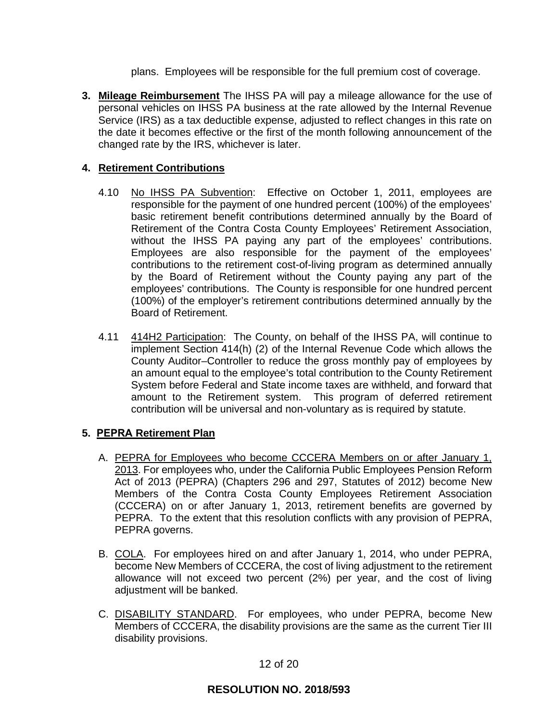plans. Employees will be responsible for the full premium cost of coverage.

**3. Mileage Reimbursement** The IHSS PA will pay a mileage allowance for the use of personal vehicles on IHSS PA business at the rate allowed by the Internal Revenue Service (IRS) as a tax deductible expense, adjusted to reflect changes in this rate on the date it becomes effective or the first of the month following announcement of the changed rate by the IRS, whichever is later.

# **4. Retirement Contributions**

- 4.10 No IHSS PA Subvention: Effective on October 1, 2011, employees are responsible for the payment of one hundred percent (100%) of the employees' basic retirement benefit contributions determined annually by the Board of Retirement of the Contra Costa County Employees' Retirement Association, without the IHSS PA paying any part of the employees' contributions. Employees are also responsible for the payment of the employees' contributions to the retirement cost-of-living program as determined annually by the Board of Retirement without the County paying any part of the employees' contributions. The County is responsible for one hundred percent (100%) of the employer's retirement contributions determined annually by the Board of Retirement.
- 4.11 414H2 Participation: The County, on behalf of the IHSS PA, will continue to implement Section 414(h) (2) of the Internal Revenue Code which allows the County Auditor–Controller to reduce the gross monthly pay of employees by an amount equal to the employee's total contribution to the County Retirement System before Federal and State income taxes are withheld, and forward that amount to the Retirement system. This program of deferred retirement contribution will be universal and non-voluntary as is required by statute.

# **5. PEPRA Retirement Plan**

- A. PEPRA for Employees who become CCCERA Members on or after January 1, 2013. For employees who, under the California Public Employees Pension Reform Act of 2013 (PEPRA) (Chapters 296 and 297, Statutes of 2012) become New Members of the Contra Costa County Employees Retirement Association (CCCERA) on or after January 1, 2013, retirement benefits are governed by PEPRA. To the extent that this resolution conflicts with any provision of PEPRA, PEPRA governs.
- B. COLA. For employees hired on and after January 1, 2014, who under PEPRA, become New Members of CCCERA, the cost of living adjustment to the retirement allowance will not exceed two percent (2%) per year, and the cost of living adjustment will be banked.
- C. DISABILITY STANDARD. For employees, who under PEPRA, become New Members of CCCERA, the disability provisions are the same as the current Tier III disability provisions.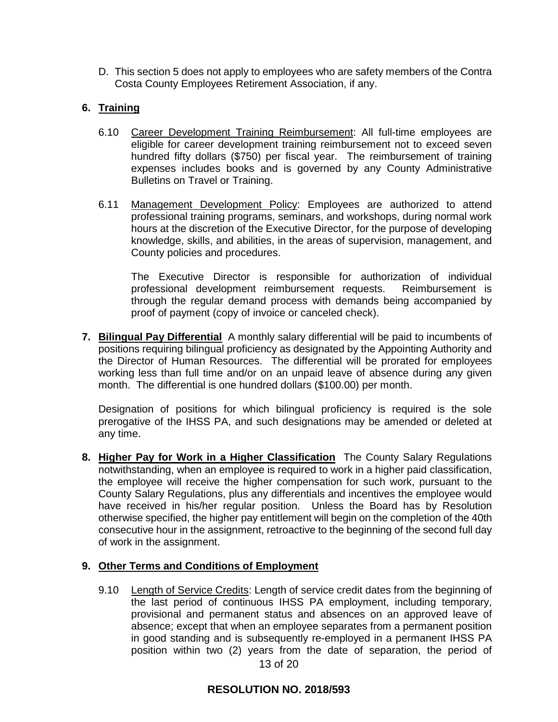D. This section 5 does not apply to employees who are safety members of the Contra Costa County Employees Retirement Association, if any.

# **6. Training**

- 6.10 Career Development Training Reimbursement: All full-time employees are eligible for career development training reimbursement not to exceed seven hundred fifty dollars (\$750) per fiscal year. The reimbursement of training expenses includes books and is governed by any County Administrative Bulletins on Travel or Training.
- 6.11 Management Development Policy: Employees are authorized to attend professional training programs, seminars, and workshops, during normal work hours at the discretion of the Executive Director, for the purpose of developing knowledge, skills, and abilities, in the areas of supervision, management, and County policies and procedures.

The Executive Director is responsible for authorization of individual professional development reimbursement requests. Reimbursement is through the regular demand process with demands being accompanied by proof of payment (copy of invoice or canceled check).

**7. Bilingual Pay Differential** A monthly salary differential will be paid to incumbents of positions requiring bilingual proficiency as designated by the Appointing Authority and the Director of Human Resources. The differential will be prorated for employees working less than full time and/or on an unpaid leave of absence during any given month. The differential is one hundred dollars (\$100.00) per month.

Designation of positions for which bilingual proficiency is required is the sole prerogative of the IHSS PA, and such designations may be amended or deleted at any time.

**8. Higher Pay for Work in a Higher Classification** The County Salary Regulations notwithstanding, when an employee is required to work in a higher paid classification, the employee will receive the higher compensation for such work, pursuant to the County Salary Regulations, plus any differentials and incentives the employee would have received in his/her regular position. Unless the Board has by Resolution otherwise specified, the higher pay entitlement will begin on the completion of the 40th consecutive hour in the assignment, retroactive to the beginning of the second full day of work in the assignment.

# **9. Other Terms and Conditions of Employment**

13 of 20 9.10 Length of Service Credits: Length of service credit dates from the beginning of the last period of continuous IHSS PA employment, including temporary, provisional and permanent status and absences on an approved leave of absence; except that when an employee separates from a permanent position in good standing and is subsequently re-employed in a permanent IHSS PA position within two (2) years from the date of separation, the period of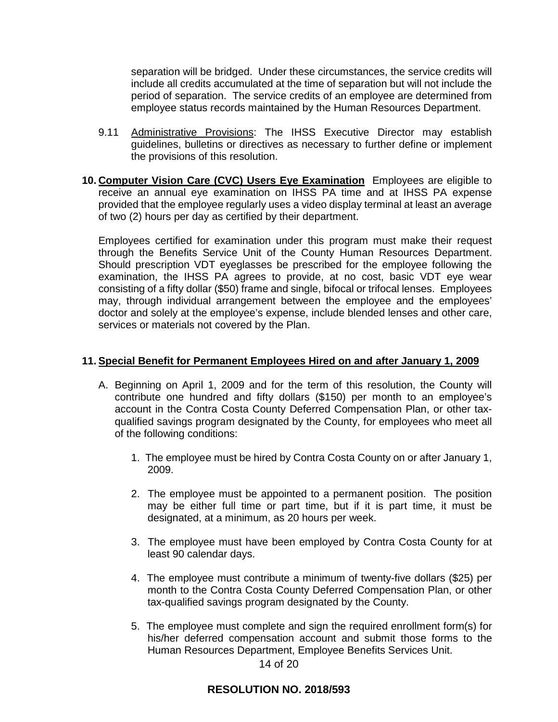separation will be bridged. Under these circumstances, the service credits will include all credits accumulated at the time of separation but will not include the period of separation. The service credits of an employee are determined from employee status records maintained by the Human Resources Department.

- 9.11 Administrative Provisions: The IHSS Executive Director may establish guidelines, bulletins or directives as necessary to further define or implement the provisions of this resolution.
- **10. Computer Vision Care (CVC) Users Eye Examination** Employees are eligible to receive an annual eye examination on IHSS PA time and at IHSS PA expense provided that the employee regularly uses a video display terminal at least an average of two (2) hours per day as certified by their department.

Employees certified for examination under this program must make their request through the Benefits Service Unit of the County Human Resources Department. Should prescription VDT eyeglasses be prescribed for the employee following the examination, the IHSS PA agrees to provide, at no cost, basic VDT eye wear consisting of a fifty dollar (\$50) frame and single, bifocal or trifocal lenses. Employees may, through individual arrangement between the employee and the employees' doctor and solely at the employee's expense, include blended lenses and other care, services or materials not covered by the Plan.

## **11. Special Benefit for Permanent Employees Hired on and after January 1, 2009**

- A. Beginning on April 1, 2009 and for the term of this resolution, the County will contribute one hundred and fifty dollars (\$150) per month to an employee's account in the Contra Costa County Deferred Compensation Plan, or other taxqualified savings program designated by the County, for employees who meet all of the following conditions:
	- 1. The employee must be hired by Contra Costa County on or after January 1, 2009.
	- 2. The employee must be appointed to a permanent position. The position may be either full time or part time, but if it is part time, it must be designated, at a minimum, as 20 hours per week.
	- 3. The employee must have been employed by Contra Costa County for at least 90 calendar days.
	- 4. The employee must contribute a minimum of twenty-five dollars (\$25) per month to the Contra Costa County Deferred Compensation Plan, or other tax-qualified savings program designated by the County.
	- 5. The employee must complete and sign the required enrollment form(s) for his/her deferred compensation account and submit those forms to the Human Resources Department, Employee Benefits Services Unit.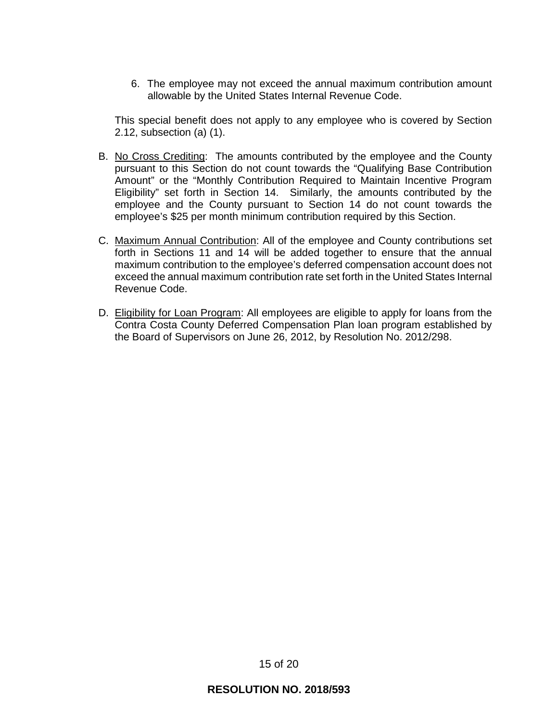6. The employee may not exceed the annual maximum contribution amount allowable by the United States Internal Revenue Code.

This special benefit does not apply to any employee who is covered by Section 2.12, subsection (a) (1).

- B. No Cross Crediting: The amounts contributed by the employee and the County pursuant to this Section do not count towards the "Qualifying Base Contribution Amount" or the "Monthly Contribution Required to Maintain Incentive Program Eligibility" set forth in Section 14. Similarly, the amounts contributed by the employee and the County pursuant to Section 14 do not count towards the employee's \$25 per month minimum contribution required by this Section.
- C. Maximum Annual Contribution: All of the employee and County contributions set forth in Sections 11 and 14 will be added together to ensure that the annual maximum contribution to the employee's deferred compensation account does not exceed the annual maximum contribution rate set forth in the United States Internal Revenue Code.
- D. Eligibility for Loan Program: All employees are eligible to apply for loans from the Contra Costa County Deferred Compensation Plan loan program established by the Board of Supervisors on June 26, 2012, by Resolution No. 2012/298.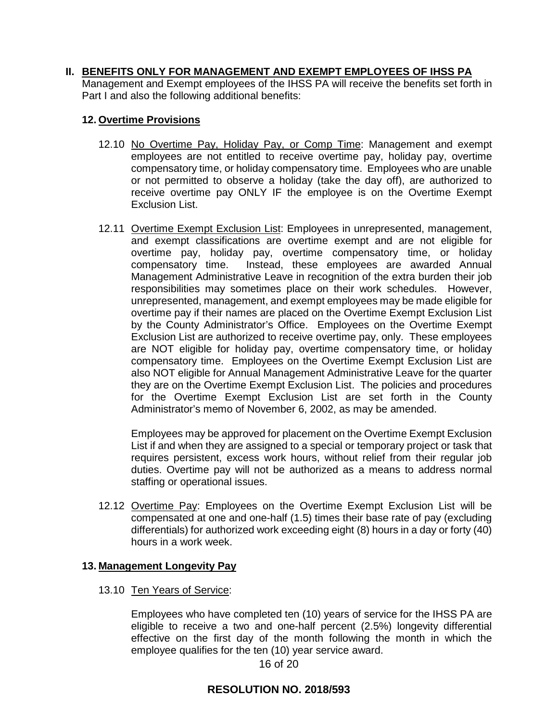## **II. BENEFITS ONLY FOR MANAGEMENT AND EXEMPT EMPLOYEES OF IHSS PA**

Management and Exempt employees of the IHSS PA will receive the benefits set forth in Part I and also the following additional benefits:

### **12. Overtime Provisions**

- 12.10 No Overtime Pay, Holiday Pay, or Comp Time: Management and exempt employees are not entitled to receive overtime pay, holiday pay, overtime compensatory time, or holiday compensatory time. Employees who are unable or not permitted to observe a holiday (take the day off), are authorized to receive overtime pay ONLY IF the employee is on the Overtime Exempt Exclusion List.
- 12.11 Overtime Exempt Exclusion List: Employees in unrepresented, management, and exempt classifications are overtime exempt and are not eligible for overtime pay, holiday pay, overtime compensatory time, or holiday compensatory time. Instead, these employees are awarded Annual Management Administrative Leave in recognition of the extra burden their job responsibilities may sometimes place on their work schedules. However, unrepresented, management, and exempt employees may be made eligible for overtime pay if their names are placed on the Overtime Exempt Exclusion List by the County Administrator's Office. Employees on the Overtime Exempt Exclusion List are authorized to receive overtime pay, only. These employees are NOT eligible for holiday pay, overtime compensatory time, or holiday compensatory time. Employees on the Overtime Exempt Exclusion List are also NOT eligible for Annual Management Administrative Leave for the quarter they are on the Overtime Exempt Exclusion List. The policies and procedures for the Overtime Exempt Exclusion List are set forth in the County Administrator's memo of November 6, 2002, as may be amended.

Employees may be approved for placement on the Overtime Exempt Exclusion List if and when they are assigned to a special or temporary project or task that requires persistent, excess work hours, without relief from their regular job duties. Overtime pay will not be authorized as a means to address normal staffing or operational issues.

12.12 Overtime Pay: Employees on the Overtime Exempt Exclusion List will be compensated at one and one-half (1.5) times their base rate of pay (excluding differentials) for authorized work exceeding eight (8) hours in a day or forty (40) hours in a work week.

### **13. Management Longevity Pay**

13.10 Ten Years of Service:

Employees who have completed ten (10) years of service for the IHSS PA are eligible to receive a two and one-half percent (2.5%) longevity differential effective on the first day of the month following the month in which the employee qualifies for the ten (10) year service award.

16 of 20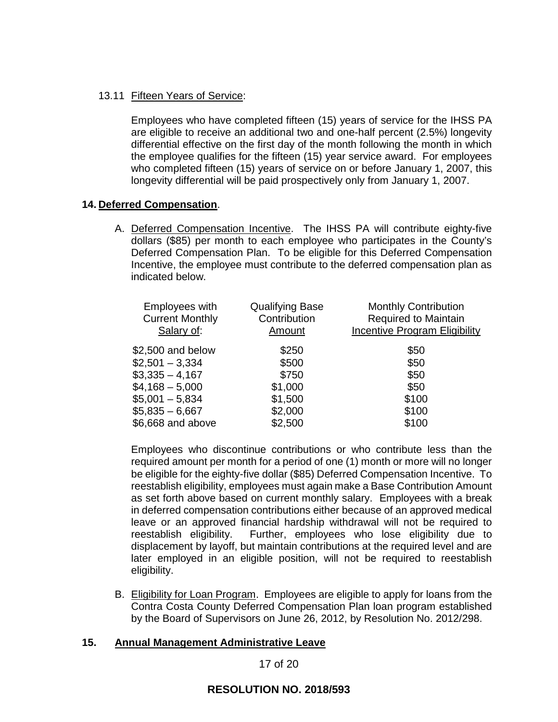### 13.11 Fifteen Years of Service:

Employees who have completed fifteen (15) years of service for the IHSS PA are eligible to receive an additional two and one-half percent (2.5%) longevity differential effective on the first day of the month following the month in which the employee qualifies for the fifteen (15) year service award. For employees who completed fifteen (15) years of service on or before January 1, 2007, this longevity differential will be paid prospectively only from January 1, 2007.

### **14. Deferred Compensation**.

A. Deferred Compensation Incentive. The IHSS PA will contribute eighty-five dollars (\$85) per month to each employee who participates in the County's Deferred Compensation Plan. To be eligible for this Deferred Compensation Incentive, the employee must contribute to the deferred compensation plan as indicated below.

| <b>Monthly Contribution</b><br>Required to Maintain<br>Incentive Program Eligibility |
|--------------------------------------------------------------------------------------|
| \$50                                                                                 |
| \$50                                                                                 |
| \$50                                                                                 |
| \$50                                                                                 |
| \$100                                                                                |
| \$100                                                                                |
| \$100                                                                                |
|                                                                                      |

Employees who discontinue contributions or who contribute less than the required amount per month for a period of one (1) month or more will no longer be eligible for the eighty-five dollar (\$85) Deferred Compensation Incentive. To reestablish eligibility, employees must again make a Base Contribution Amount as set forth above based on current monthly salary. Employees with a break in deferred compensation contributions either because of an approved medical leave or an approved financial hardship withdrawal will not be required to reestablish eligibility. Further, employees who lose eligibility due to displacement by layoff, but maintain contributions at the required level and are later employed in an eligible position, will not be required to reestablish eligibility.

B. Eligibility for Loan Program. Employees are eligible to apply for loans from the Contra Costa County Deferred Compensation Plan loan program established by the Board of Supervisors on June 26, 2012, by Resolution No. 2012/298.

### **15. Annual Management Administrative Leave**

17 of 20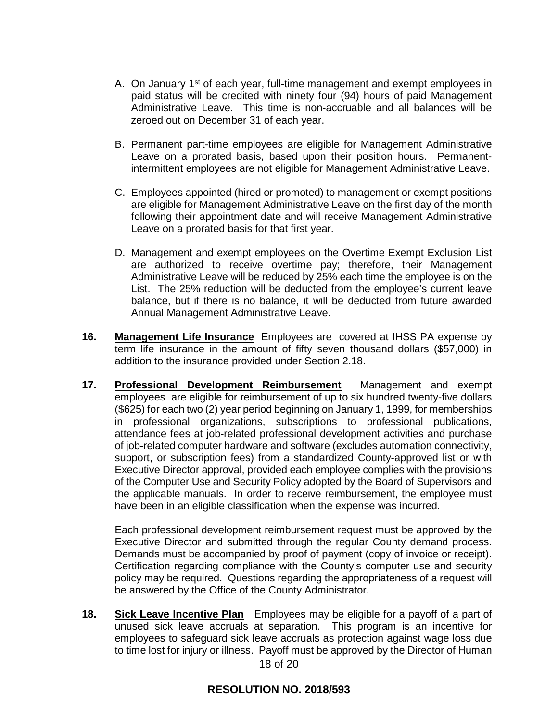- A. On January  $1<sup>st</sup>$  of each year, full-time management and exempt employees in paid status will be credited with ninety four (94) hours of paid Management Administrative Leave. This time is non-accruable and all balances will be zeroed out on December 31 of each year.
- B. Permanent part-time employees are eligible for Management Administrative Leave on a prorated basis, based upon their position hours. Permanentintermittent employees are not eligible for Management Administrative Leave.
- C. Employees appointed (hired or promoted) to management or exempt positions are eligible for Management Administrative Leave on the first day of the month following their appointment date and will receive Management Administrative Leave on a prorated basis for that first year.
- D. Management and exempt employees on the Overtime Exempt Exclusion List are authorized to receive overtime pay; therefore, their Management Administrative Leave will be reduced by 25% each time the employee is on the List. The 25% reduction will be deducted from the employee's current leave balance, but if there is no balance, it will be deducted from future awarded Annual Management Administrative Leave.
- **16. Management Life Insurance** Employees are covered at IHSS PA expense by term life insurance in the amount of fifty seven thousand dollars (\$57,000) in addition to the insurance provided under Section 2.18.
- **17. Professional Development Reimbursement** Management and exempt employees are eligible for reimbursement of up to six hundred twenty-five dollars (\$625) for each two (2) year period beginning on January 1, 1999, for memberships in professional organizations, subscriptions to professional publications, attendance fees at job-related professional development activities and purchase of job-related computer hardware and software (excludes automation connectivity, support, or subscription fees) from a standardized County-approved list or with Executive Director approval, provided each employee complies with the provisions of the Computer Use and Security Policy adopted by the Board of Supervisors and the applicable manuals. In order to receive reimbursement, the employee must have been in an eligible classification when the expense was incurred.

Each professional development reimbursement request must be approved by the Executive Director and submitted through the regular County demand process. Demands must be accompanied by proof of payment (copy of invoice or receipt). Certification regarding compliance with the County's computer use and security policy may be required. Questions regarding the appropriateness of a request will be answered by the Office of the County Administrator.

18 of 20 **18. Sick Leave Incentive Plan** Employees may be eligible for a payoff of a part of unused sick leave accruals at separation. This program is an incentive for employees to safeguard sick leave accruals as protection against wage loss due to time lost for injury or illness. Payoff must be approved by the Director of Human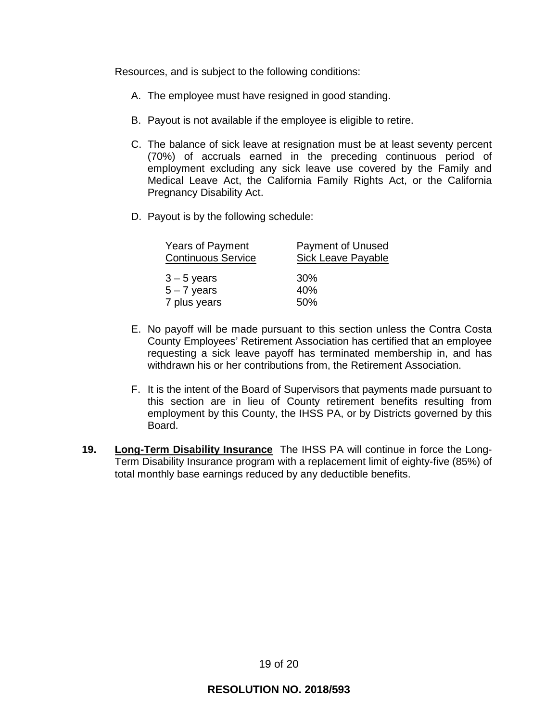Resources, and is subject to the following conditions:

- A. The employee must have resigned in good standing.
- B. Payout is not available if the employee is eligible to retire.
- C. The balance of sick leave at resignation must be at least seventy percent (70%) of accruals earned in the preceding continuous period of employment excluding any sick leave use covered by the Family and Medical Leave Act, the California Family Rights Act, or the California Pregnancy Disability Act.
- D. Payout is by the following schedule:

| <b>Years of Payment</b>   | <b>Payment of Unused</b>  |
|---------------------------|---------------------------|
| <b>Continuous Service</b> | <b>Sick Leave Payable</b> |
| $3 - 5$ years             | 30%                       |
| $5 - 7$ years             | 40%                       |
| 7 plus years              | 50%                       |

- E. No payoff will be made pursuant to this section unless the Contra Costa County Employees' Retirement Association has certified that an employee requesting a sick leave payoff has terminated membership in, and has withdrawn his or her contributions from, the Retirement Association.
- F. It is the intent of the Board of Supervisors that payments made pursuant to this section are in lieu of County retirement benefits resulting from employment by this County, the IHSS PA, or by Districts governed by this Board.
- **19. Long-Term Disability Insurance** The IHSS PA will continue in force the Long-Term Disability Insurance program with a replacement limit of eighty-five (85%) of total monthly base earnings reduced by any deductible benefits.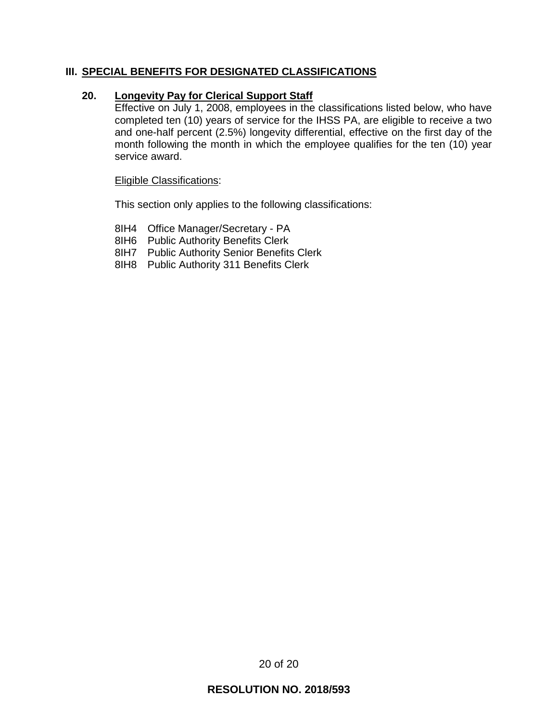## **III. SPECIAL BENEFITS FOR DESIGNATED CLASSIFICATIONS**

### **20. Longevity Pay for Clerical Support Staff**

Effective on July 1, 2008, employees in the classifications listed below, who have completed ten (10) years of service for the IHSS PA, are eligible to receive a two and one-half percent (2.5%) longevity differential, effective on the first day of the month following the month in which the employee qualifies for the ten (10) year service award.

#### Eligible Classifications:

This section only applies to the following classifications:

- 8IH4 Office Manager/Secretary PA
- 8IH6 Public Authority Benefits Clerk
- 8IH7 Public Authority Senior Benefits Clerk
- 8IH8 Public Authority 311 Benefits Clerk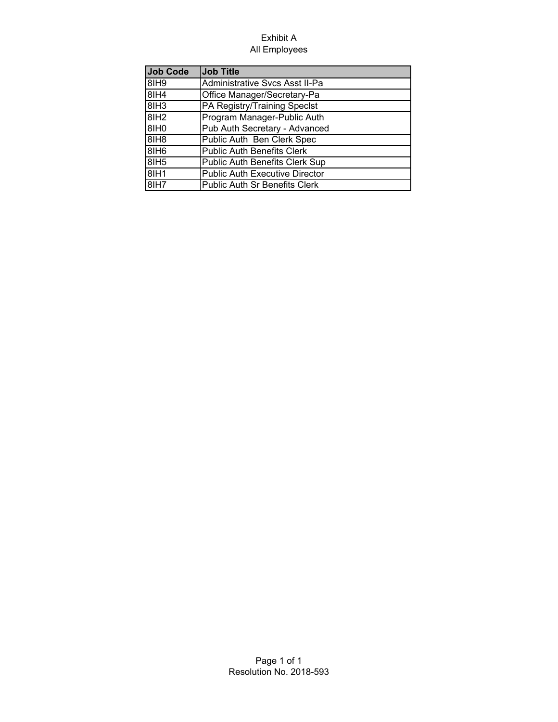#### Exhibit A All Employees

| <b>Job Code</b>  | <b>Job Title</b>                      |
|------------------|---------------------------------------|
| 8IH <sub>9</sub> | Administrative Svcs Asst II-Pa        |
| 8IH4             | Office Manager/Secretary-Pa           |
| 8IH3             | PA Registry/Training Speclst          |
| 8IH <sub>2</sub> | Program Manager-Public Auth           |
| 8IH <sub>0</sub> | Pub Auth Secretary - Advanced         |
| 8IH <sub>8</sub> | Public Auth Ben Clerk Spec            |
| 8IH <sub>6</sub> | <b>Public Auth Benefits Clerk</b>     |
| 8IH <sub>5</sub> | Public Auth Benefits Clerk Sup        |
| 8IH1             | <b>Public Auth Executive Director</b> |
| 8IH7             | Public Auth Sr Benefits Clerk         |